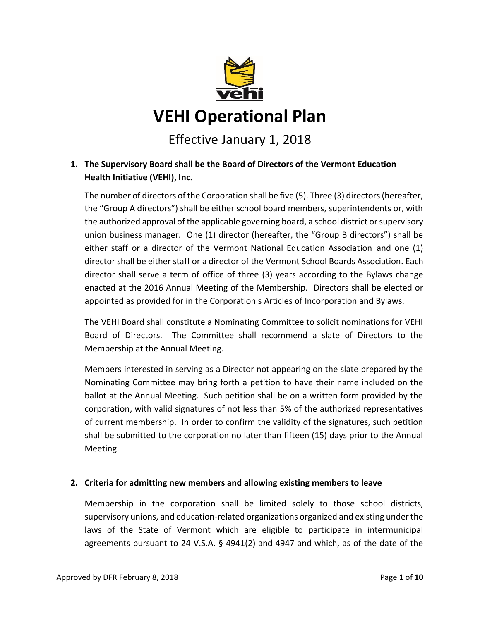

# Effective January 1, 2018

# **1. The Supervisory Board shall be the Board of Directors of the Vermont Education Health Initiative (VEHI), Inc.**

The number of directors of the Corporation shall be five (5). Three (3) directors (hereafter, the "Group A directors") shall be either school board members, superintendents or, with the authorized approval of the applicable governing board, a school district or supervisory union business manager. One (1) director (hereafter, the "Group B directors") shall be either staff or a director of the Vermont National Education Association and one (1) director shall be either staff or a director of the Vermont School Boards Association. Each director shall serve a term of office of three (3) years according to the Bylaws change enacted at the 2016 Annual Meeting of the Membership. Directors shall be elected or appointed as provided for in the Corporation's Articles of Incorporation and Bylaws.

The VEHI Board shall constitute a Nominating Committee to solicit nominations for VEHI Board of Directors. The Committee shall recommend a slate of Directors to the Membership at the Annual Meeting.

Members interested in serving as a Director not appearing on the slate prepared by the Nominating Committee may bring forth a petition to have their name included on the ballot at the Annual Meeting. Such petition shall be on a written form provided by the corporation, with valid signatures of not less than 5% of the authorized representatives of current membership. In order to confirm the validity of the signatures, such petition shall be submitted to the corporation no later than fifteen (15) days prior to the Annual Meeting.

#### **2. Criteria for admitting new members and allowing existing members to leave**

Membership in the corporation shall be limited solely to those school districts, supervisory unions, and education-related organizations organized and existing under the laws of the State of Vermont which are eligible to participate in intermunicipal agreements pursuant to 24 V.S.A. § 4941(2) and 4947 and which, as of the date of the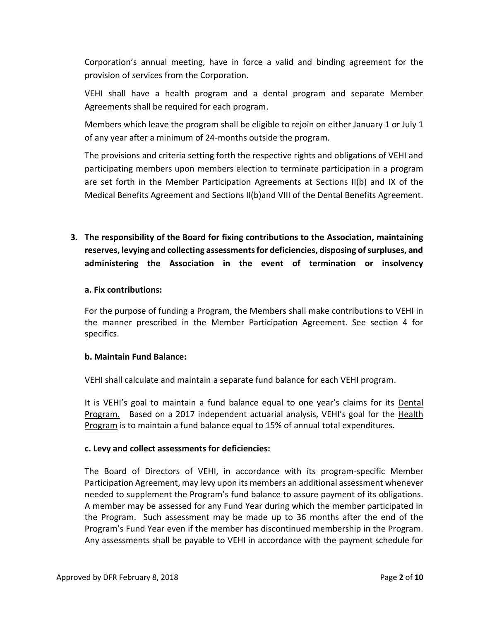Corporation's annual meeting, have in force a valid and binding agreement for the provision of services from the Corporation.

VEHI shall have a health program and a dental program and separate Member Agreements shall be required for each program.

Members which leave the program shall be eligible to rejoin on either January 1 or July 1 of any year after a minimum of 24-months outside the program.

The provisions and criteria setting forth the respective rights and obligations of VEHI and participating members upon members election to terminate participation in a program are set forth in the Member Participation Agreements at Sections II(b) and IX of the Medical Benefits Agreement and Sections II(b)and VIII of the Dental Benefits Agreement.

**3. The responsibility of the Board for fixing contributions to the Association, maintaining reserves, levying and collecting assessments for deficiencies, disposing of surpluses, and administering the Association in the event of termination or insolvency**

#### **a. Fix contributions:**

For the purpose of funding a Program, the Members shall make contributions to VEHI in the manner prescribed in the Member Participation Agreement. See section 4 for specifics.

#### **b. Maintain Fund Balance:**

VEHI shall calculate and maintain a separate fund balance for each VEHI program.

It is VEHI's goal to maintain a fund balance equal to one year's claims for its Dental Program. Based on a 2017 independent actuarial analysis, VEHI's goal for the Health Program is to maintain a fund balance equal to 15% of annual total expenditures.

#### **c. Levy and collect assessments for deficiencies:**

The Board of Directors of VEHI, in accordance with its program-specific Member Participation Agreement, may levy upon its members an additional assessment whenever needed to supplement the Program's fund balance to assure payment of its obligations. A member may be assessed for any Fund Year during which the member participated in the Program. Such assessment may be made up to 36 months after the end of the Program's Fund Year even if the member has discontinued membership in the Program. Any assessments shall be payable to VEHI in accordance with the payment schedule for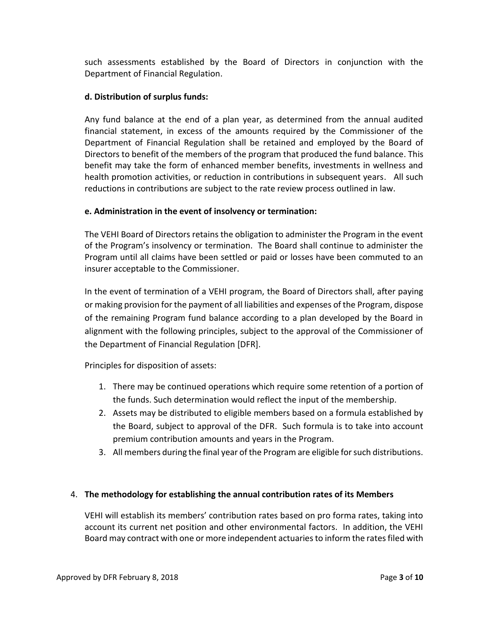such assessments established by the Board of Directors in conjunction with the Department of Financial Regulation.

## **d. Distribution of surplus funds:**

Any fund balance at the end of a plan year, as determined from the annual audited financial statement, in excess of the amounts required by the Commissioner of the Department of Financial Regulation shall be retained and employed by the Board of Directors to benefit of the members of the program that produced the fund balance. This benefit may take the form of enhanced member benefits, investments in wellness and health promotion activities, or reduction in contributions in subsequent years. All such reductions in contributions are subject to the rate review process outlined in law.

## **e. Administration in the event of insolvency or termination:**

The VEHI Board of Directors retains the obligation to administer the Program in the event of the Program's insolvency or termination. The Board shall continue to administer the Program until all claims have been settled or paid or losses have been commuted to an insurer acceptable to the Commissioner.

In the event of termination of a VEHI program, the Board of Directors shall, after paying or making provision for the payment of all liabilities and expenses of the Program, dispose of the remaining Program fund balance according to a plan developed by the Board in alignment with the following principles, subject to the approval of the Commissioner of the Department of Financial Regulation [DFR].

Principles for disposition of assets:

- 1. There may be continued operations which require some retention of a portion of the funds. Such determination would reflect the input of the membership.
- 2. Assets may be distributed to eligible members based on a formula established by the Board, subject to approval of the DFR. Such formula is to take into account premium contribution amounts and years in the Program.
- 3. All members during the final year of the Program are eligible for such distributions.

#### 4. **The methodology for establishing the annual contribution rates of its Members**

VEHI will establish its members' contribution rates based on pro forma rates, taking into account its current net position and other environmental factors. In addition, the VEHI Board may contract with one or more independent actuaries to inform the rates filed with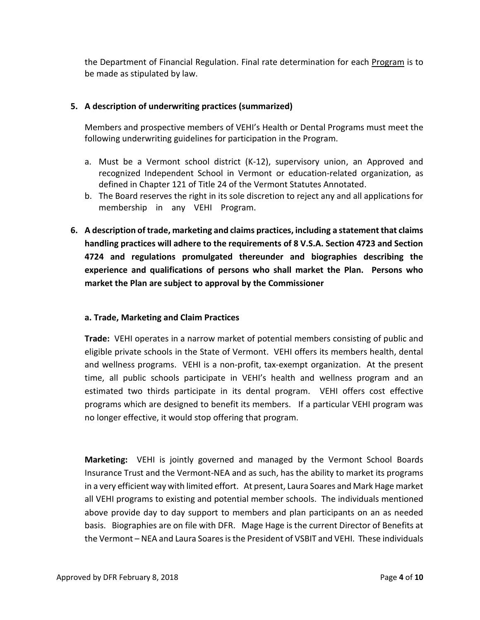the Department of Financial Regulation. Final rate determination for each Program is to be made as stipulated by law.

## **5. A description of underwriting practices (summarized)**

Members and prospective members of VEHI's Health or Dental Programs must meet the following underwriting guidelines for participation in the Program.

- a. Must be a Vermont school district (K-12), supervisory union, an Approved and recognized Independent School in Vermont or education-related organization, as defined in Chapter 121 of Title 24 of the Vermont Statutes Annotated.
- b. The Board reserves the right in its sole discretion to reject any and all applications for membership in any VEHI Program.
- **6. A description of trade, marketing and claims practices, including a statement that claims handling practices will adhere to the requirements of 8 V.S.A. Section 4723 and Section 4724 and regulations promulgated thereunder and biographies describing the experience and qualifications of persons who shall market the Plan. Persons who market the Plan are subject to approval by the Commissioner**

#### **a. Trade, Marketing and Claim Practices**

**Trade:** VEHI operates in a narrow market of potential members consisting of public and eligible private schools in the State of Vermont. VEHI offers its members health, dental and wellness programs. VEHI is a non-profit, tax-exempt organization. At the present time, all public schools participate in VEHI's health and wellness program and an estimated two thirds participate in its dental program. VEHI offers cost effective programs which are designed to benefit its members. If a particular VEHI program was no longer effective, it would stop offering that program.

**Marketing:** VEHI is jointly governed and managed by the Vermont School Boards Insurance Trust and the Vermont-NEA and as such, has the ability to market its programs in a very efficient way with limited effort. At present, Laura Soares and Mark Hage market all VEHI programs to existing and potential member schools. The individuals mentioned above provide day to day support to members and plan participants on an as needed basis. Biographies are on file with DFR. Mage Hage is the current Director of Benefits at the Vermont – NEA and Laura Soares is the President of VSBIT and VEHI. These individuals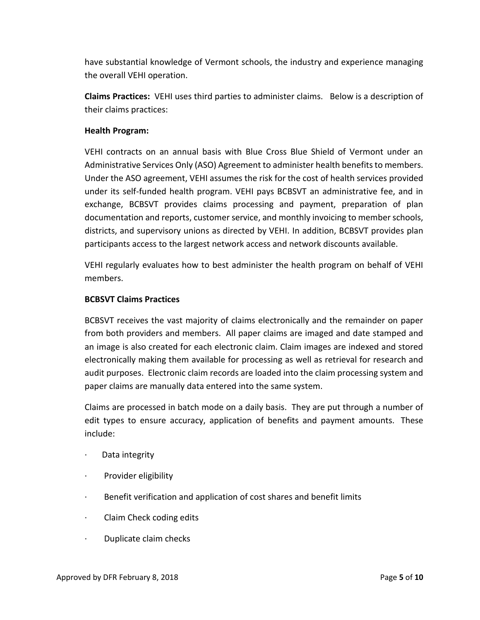have substantial knowledge of Vermont schools, the industry and experience managing the overall VEHI operation.

**Claims Practices:** VEHI uses third parties to administer claims. Below is a description of their claims practices:

### **Health Program:**

VEHI contracts on an annual basis with Blue Cross Blue Shield of Vermont under an Administrative Services Only (ASO) Agreement to administer health benefits to members. Under the ASO agreement, VEHI assumes the risk for the cost of health services provided under its self-funded health program. VEHI pays BCBSVT an administrative fee, and in exchange, BCBSVT provides claims processing and payment, preparation of plan documentation and reports, customer service, and monthly invoicing to member schools, districts, and supervisory unions as directed by VEHI. In addition, BCBSVT provides plan participants access to the largest network access and network discounts available.

VEHI regularly evaluates how to best administer the health program on behalf of VEHI members.

## **BCBSVT Claims Practices**

BCBSVT receives the vast majority of claims electronically and the remainder on paper from both providers and members. All paper claims are imaged and date stamped and an image is also created for each electronic claim. Claim images are indexed and stored electronically making them available for processing as well as retrieval for research and audit purposes. Electronic claim records are loaded into the claim processing system and paper claims are manually data entered into the same system.

Claims are processed in batch mode on a daily basis. They are put through a number of edit types to ensure accuracy, application of benefits and payment amounts. These include:

- · Data integrity
- · Provider eligibility
- · Benefit verification and application of cost shares and benefit limits
- · Claim Check coding edits
- · Duplicate claim checks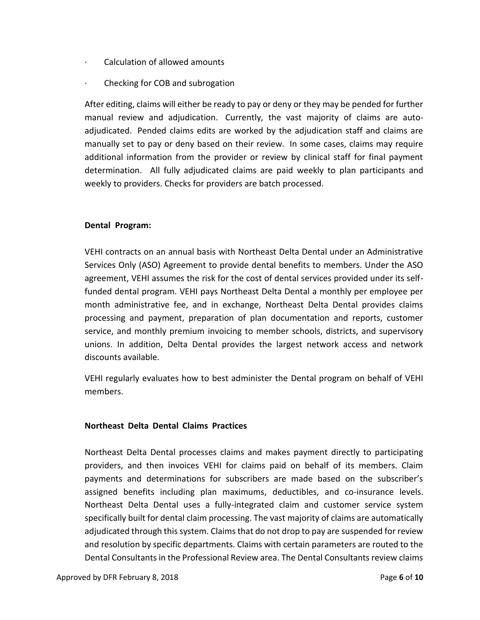- · Calculation of allowed amounts
- · Checking for COB and subrogation

After editing, claims will either be ready to pay or deny or they may be pended for further manual review and adjudication. Currently, the vast majority of claims are autoadjudicated. Pended claims edits are worked by the adjudication staff and claims are manually set to pay or deny based on their review. In some cases, claims may require additional information from the provider or review by clinical staff for final payment determination. All fully adjudicated claims are paid weekly to plan participants and weekly to providers. Checks for providers are batch processed.

#### **Dental Program: .**

VEHI contracts on an annual basis with Northeast Delta Dental under an Administrative Services Only (ASO) Agreement to provide dental benefits to members. Under the ASO agreement, VEHI assumes the risk for the cost of dental services provided under its selffunded dental program. VEHI pays Northeast Delta Dental a monthly per employee per month administrative fee, and in exchange, Northeast Delta Dental provides claims processing and payment, preparation of plan documentation and reports, customer service, and monthly premium invoicing to member schools, districts, and supervisory unions. In addition, Delta Dental provides the largest network access and network discounts available.

VEHI regularly evaluates how to best administer the Dental program on behalf of VEHI members.

#### **Northeast Delta Dental Claims Practices .**

Northeast Delta Dental processes claims and makes payment directly to participating providers, and then invoices VEHI for claims paid on behalf of its members. Claim payments and determinations for subscribers are made based on the subscriber's assigned benefits including plan maximums, deductibles, and co-insurance levels. Northeast Delta Dental uses a fully-integrated claim and customer service system specifically built for dental claim processing. The vast majority of claims are automatically adjudicated through this system. Claims that do not drop to pay are suspended for review and resolution by specific departments. Claims with certain parameters are routed to the Dental Consultants in the Professional Review area. The Dental Consultants review claims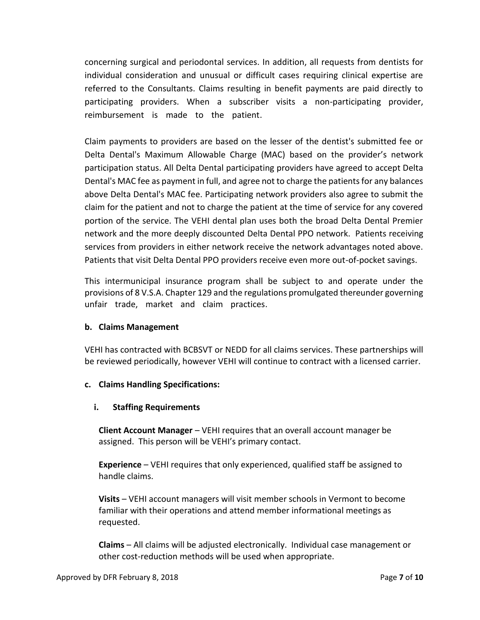concerning surgical and periodontal services. In addition, all requests from dentists for individual consideration and unusual or difficult cases requiring clinical expertise are referred to the Consultants. Claims resulting in benefit payments are paid directly to participating providers. When a subscriber visits a non-participating provider, reimbursement is made to the patient.

Claim payments to providers are based on the lesser of the dentist's submitted fee or Delta Dental's Maximum Allowable Charge (MAC) based on the provider's network participation status. All Delta Dental participating providers have agreed to accept Delta Dental's MAC fee as payment in full, and agree not to charge the patients for any balances above Delta Dental's MAC fee. Participating network providers also agree to submit the claim for the patient and not to charge the patient at the time of service for any covered portion of the service. The VEHI dental plan uses both the broad Delta Dental Premier network and the more deeply discounted Delta Dental PPO network. Patients receiving services from providers in either network receive the network advantages noted above. Patients that visit Delta Dental PPO providers receive even more out-of-pocket savings.

This intermunicipal insurance program shall be subject to and operate under the provisions of 8 V.S.A. Chapter 129 and the regulations promulgated thereunder governing unfair trade, market and claim practices.

#### **b. Claims Management**

VEHI has contracted with BCBSVT or NEDD for all claims services. These partnerships will be reviewed periodically, however VEHI will continue to contract with a licensed carrier.

#### **c. Claims Handling Specifications:**

#### **i. Staffing Requirements**

**Client Account Manager** – VEHI requires that an overall account manager be assigned. This person will be VEHI's primary contact.

**Experience** – VEHI requires that only experienced, qualified staff be assigned to handle claims.

**Visits** – VEHI account managers will visit member schools in Vermont to become familiar with their operations and attend member informational meetings as requested.

**Claims** – All claims will be adjusted electronically. Individual case management or other cost-reduction methods will be used when appropriate.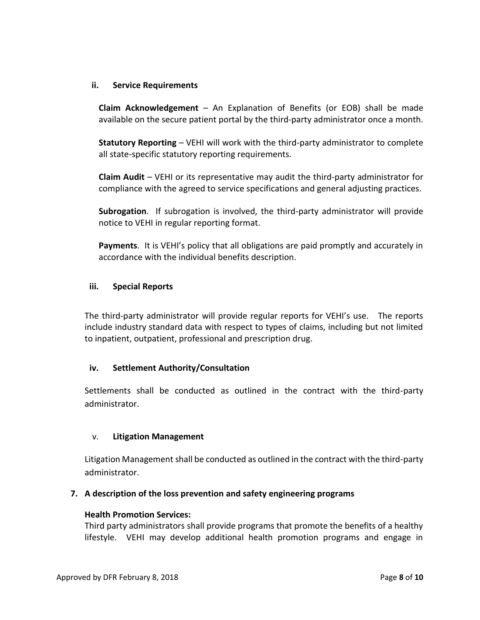#### **ii. Service Requirements**

**Claim Acknowledgement** – An Explanation of Benefits (or EOB) shall be made available on the secure patient portal by the third-party administrator once a month.

**Statutory Reporting** – VEHI will work with the third-party administrator to complete all state-specific statutory reporting requirements.

**Claim Audit** – VEHI or its representative may audit the third-party administrator for compliance with the agreed to service specifications and general adjusting practices.

**Subrogation**. If subrogation is involved, the third-party administrator will provide notice to VEHI in regular reporting format.

**Payments**. It is VEHI's policy that all obligations are paid promptly and accurately in accordance with the individual benefits description.

#### **iii. Special Reports**

The third-party administrator will provide regular reports for VEHI's use. The reports include industry standard data with respect to types of claims, including but not limited to inpatient, outpatient, professional and prescription drug.

#### **iv. Settlement Authority/Consultation**

Settlements shall be conducted as outlined in the contract with the third-party administrator.

#### v. **Litigation Management**

Litigation Management shall be conducted as outlined in the contract with the third-party administrator.

#### **7. A description of the loss prevention and safety engineering programs**

#### **Health Promotion Services:**

Third party administrators shall provide programs that promote the benefits of a healthy lifestyle. VEHI may develop additional health promotion programs and engage in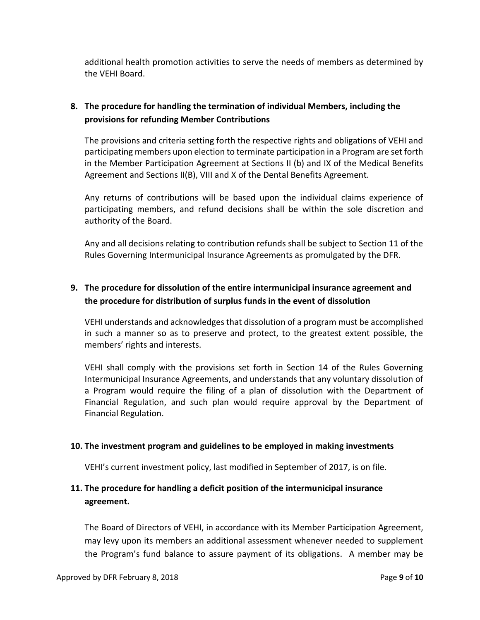additional health promotion activities to serve the needs of members as determined by the VEHI Board.

# **8. The procedure for handling the termination of individual Members, including the provisions for refunding Member Contributions**

The provisions and criteria setting forth the respective rights and obligations of VEHI and participating members upon election to terminate participation in a Program are set forth in the Member Participation Agreement at Sections II (b) and IX of the Medical Benefits Agreement and Sections II(B), VIII and X of the Dental Benefits Agreement.

Any returns of contributions will be based upon the individual claims experience of participating members, and refund decisions shall be within the sole discretion and authority of the Board.

Any and all decisions relating to contribution refunds shall be subject to Section 11 of the Rules Governing Intermunicipal Insurance Agreements as promulgated by the DFR.

# **9. The procedure for dissolution of the entire intermunicipal insurance agreement and the procedure for distribution of surplus funds in the event of dissolution**

VEHI understands and acknowledges that dissolution of a program must be accomplished in such a manner so as to preserve and protect, to the greatest extent possible, the members' rights and interests.

VEHI shall comply with the provisions set forth in Section 14 of the Rules Governing Intermunicipal Insurance Agreements, and understands that any voluntary dissolution of a Program would require the filing of a plan of dissolution with the Department of Financial Regulation, and such plan would require approval by the Department of Financial Regulation.

# **10. The investment program and guidelines to be employed in making investments**

VEHI's current investment policy, last modified in September of 2017, is on file.

# **11. The procedure for handling a deficit position of the intermunicipal insurance agreement.**

The Board of Directors of VEHI, in accordance with its Member Participation Agreement, may levy upon its members an additional assessment whenever needed to supplement the Program's fund balance to assure payment of its obligations. A member may be